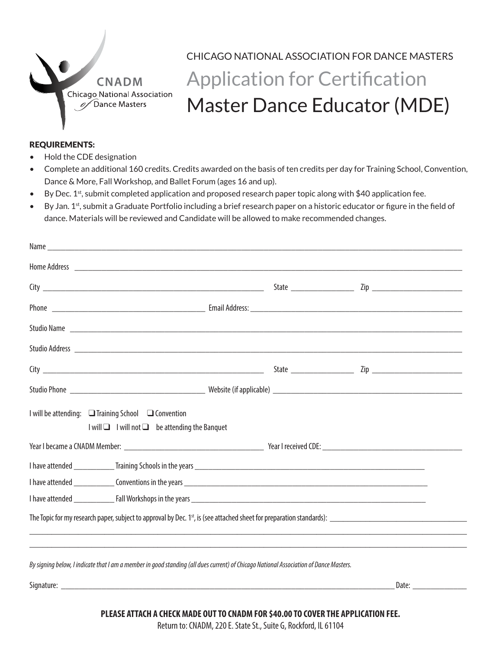

# CHICAGO NATIONAL ASSOCIATION FOR DANCE MASTERS Application for Certification Master Dance Educator (MDE)

#### REQUIREMENTS:

- Hold the CDE designation
- Complete an additional 160 credits. Credits awarded on the basis of ten credits per day for Training School, Convention, Dance & More, Fall Workshop, and Ballet Forum (ages 16 and up).
- By Dec. 1<sup>st</sup>, submit completed application and proposed research paper topic along with \$40 application fee.
- By Jan. 1<sup>st</sup>, submit a Graduate Portfolio including a brief research paper on a historic educator or figure in the field of dance. Materials will be reviewed and Candidate will be allowed to make recommended changes.

| Studio Name                                                                                                                           |  |
|---------------------------------------------------------------------------------------------------------------------------------------|--|
|                                                                                                                                       |  |
|                                                                                                                                       |  |
|                                                                                                                                       |  |
| I will be attending: $\Box$ Training School $\Box$ Convention<br>I will □ I will not □ be attending the Banquet                       |  |
|                                                                                                                                       |  |
|                                                                                                                                       |  |
|                                                                                                                                       |  |
|                                                                                                                                       |  |
| The Topic for my research paper, subject to approval by Dec. $1st$ , is (see attached sheet for preparation standards):               |  |
|                                                                                                                                       |  |
| By signing below, I indicate that I am a member in good standing (all dues current) of Chicago National Association of Dance Masters. |  |
|                                                                                                                                       |  |
|                                                                                                                                       |  |

**PLEASE ATTACH A CHECK MADE OUT TO CNADM FOR \$40.00 TO COVER THE APPLICATION FEE.**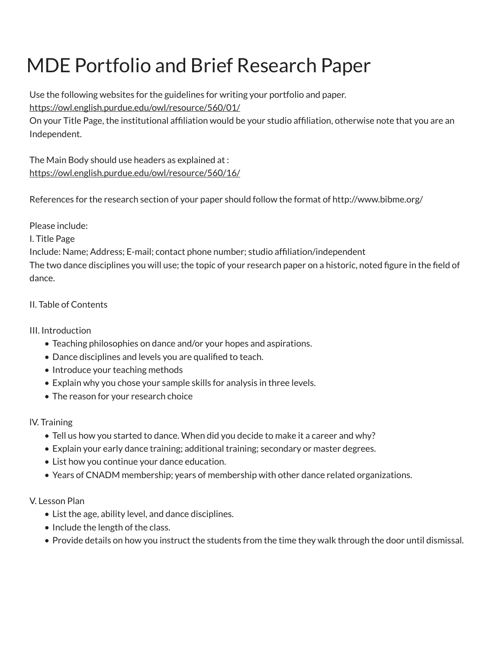# MDE Portfolio and Brief Research Paper

Use the following websites for the guidelines for writing your portfolio and paper.

[https://owl.english.purdue.edu/owl/resource/560/01/](https://owl.english.purdue.edu/owl/resource/560/01/ )

On your Title Page, the institutional affiliation would be your studio affiliation, otherwise note that you are an Independent.

The Main Body should use headers as explained at : [https://owl.english.purdue.edu/owl/resource/560/16/](https://owl.english.purdue.edu/owl/resource/560/16/ )

References for the research section of your paper should follow the format of http://www.bibme.org/

Please include:

I. Title Page

Include: Name; Address; E-mail; contact phone number; studio affiliation/independent

The two dance disciplines you will use; the topic of your research paper on a historic, noted figure in the field of dance.

### II. Table of Contents

### III. Introduction

- Teaching philosophies on dance and/or your hopes and aspirations.
- Dance disciplines and levels you are qualified to teach.
- Introduce your teaching methods
- Explain why you chose your sample skills for analysis in three levels.
- The reason for your research choice

### lV. Training

- Tell us how you started to dance. When did you decide to make it a career and why?
- Explain your early dance training; additional training; secondary or master degrees.
- List how you continue your dance education.
- Years of CNADM membership; years of membership with other dance related organizations.

### V. Lesson Plan

- List the age, ability level, and dance disciplines.
- Include the length of the class.
- Provide details on how you instruct the students from the time they walk through the door until dismissal.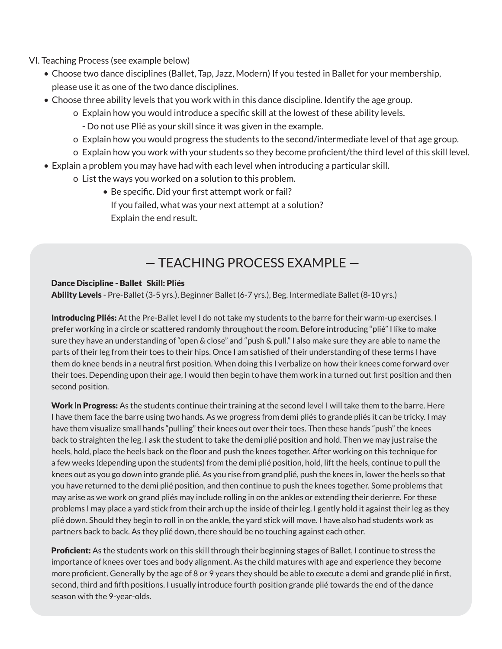- VI. Teaching Process (see example below)
	- Choose two dance disciplines (Ballet, Tap, Jazz, Modern) If you tested in Ballet for your membership, please use it as one of the two dance disciplines.
	- Choose three ability levels that you work with in this dance discipline. Identify the age group.
		- o Explain how you would introduce a specific skill at the lowest of these ability levels.
			- Do not use Plié as your skill since it was given in the example.
		- o Explain how you would progress the students to the second/intermediate level of that age group.
		- o Explain how you work with your students so they become proficient/the third level of this skill level.
	- Explain a problem you may have had with each level when introducing a particular skill.
		- o List the ways you worked on a solution to this problem.
			- Be specific. Did your first attempt work or fail? If you failed, what was your next attempt at a solution? Explain the end result.

## — TEACHING PROCESS EXAMPLE —

#### Dance Discipline - Ballet Skill: Pliés

Ability Levels - Pre-Ballet (3-5 yrs.), Beginner Ballet (6-7 yrs.), Beg. Intermediate Ballet (8-10 yrs.)

Introducing Pliés: At the Pre-Ballet level I do not take my students to the barre for their warm-up exercises. I prefer working in a circle or scattered randomly throughout the room. Before introducing "plié" I like to make sure they have an understanding of "open & close" and "push & pull." I also make sure they are able to name the parts of their leg from their toes to their hips. Once I am satisfied of their understanding of these terms I have them do knee bends in a neutral first position. When doing this I verbalize on how their knees come forward over their toes. Depending upon their age, I would then begin to have them work in a turned out first position and then second position.

Work in Progress: As the students continue their training at the second level I will take them to the barre. Here I have them face the barre using two hands. As we progress from demi pliés to grande pliés it can be tricky. I may have them visualize small hands "pulling" their knees out over their toes. Then these hands "push" the knees back to straighten the leg. I ask the student to take the demi plié position and hold. Then we may just raise the heels, hold, place the heels back on the floor and push the knees together. After working on this technique for a few weeks (depending upon the students) from the demi plié position, hold, lift the heels, continue to pull the knees out as you go down into grande plié. As you rise from grand plié, push the knees in, lower the heels so that you have returned to the demi plié position, and then continue to push the knees together. Some problems that may arise as we work on grand pliés may include rolling in on the ankles or extending their derierre. For these problems I may place a yard stick from their arch up the inside of their leg. I gently hold it against their leg as they plié down. Should they begin to roll in on the ankle, the yard stick will move. I have also had students work as partners back to back. As they plié down, there should be no touching against each other.

**Proficient:** As the students work on this skill through their beginning stages of Ballet, I continue to stress the importance of knees over toes and body alignment. As the child matures with age and experience they become more proficient. Generally by the age of 8 or 9 years they should be able to execute a demi and grande plié in first, second, third and fifth positions. I usually introduce fourth position grande plié towards the end of the dance season with the 9-year-olds.